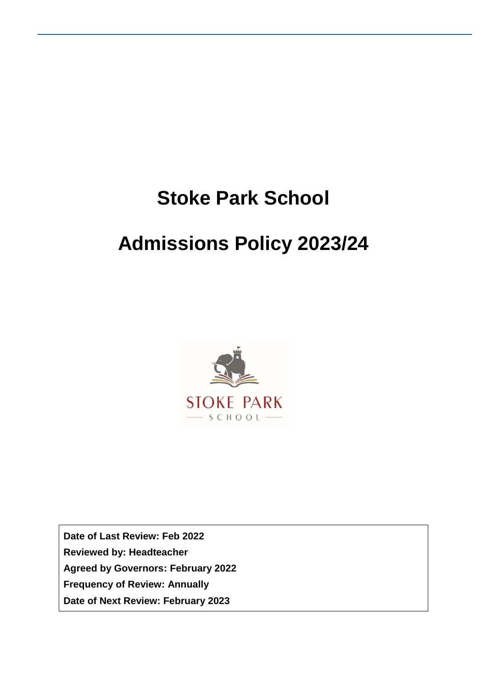# **Stoke Park School**

# **Admissions Policy 2023/24**



**Date of Last Review: Feb 2022 Reviewed by: Headteacher Agreed by Governors: February 2022 Frequency of Review: Annually Date of Next Review: February 2023**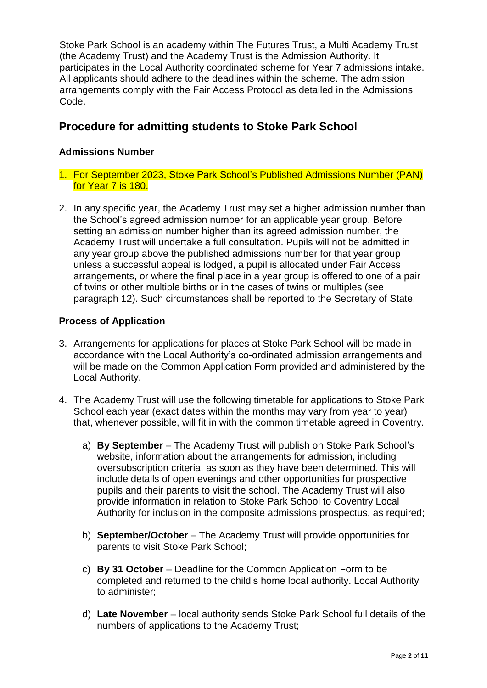Stoke Park School is an academy within The Futures Trust, a Multi Academy Trust (the Academy Trust) and the Academy Trust is the Admission Authority. It participates in the Local Authority coordinated scheme for Year 7 admissions intake. All applicants should adhere to the deadlines within the scheme. The admission arrangements comply with the Fair Access Protocol as detailed in the Admissions Code.

## **Procedure for admitting students to Stoke Park School**

#### **Admissions Number**

- 1. For September 2023, Stoke Park School's Published Admissions Number (PAN) for Year 7 is 180.
- 2. In any specific year, the Academy Trust may set a higher admission number than the School's agreed admission number for an applicable year group. Before setting an admission number higher than its agreed admission number, the Academy Trust will undertake a full consultation. Pupils will not be admitted in any year group above the published admissions number for that year group unless a successful appeal is lodged, a pupil is allocated under Fair Access arrangements, or where the final place in a year group is offered to one of a pair of twins or other multiple births or in the cases of twins or multiples (see paragraph 12). Such circumstances shall be reported to the Secretary of State.

#### **Process of Application**

- 3. Arrangements for applications for places at Stoke Park School will be made in accordance with the Local Authority's co-ordinated admission arrangements and will be made on the Common Application Form provided and administered by the Local Authority.
- 4. The Academy Trust will use the following timetable for applications to Stoke Park School each year (exact dates within the months may vary from year to year) that, whenever possible, will fit in with the common timetable agreed in Coventry.
	- a) **By September** The Academy Trust will publish on Stoke Park School's website, information about the arrangements for admission, including oversubscription criteria, as soon as they have been determined. This will include details of open evenings and other opportunities for prospective pupils and their parents to visit the school. The Academy Trust will also provide information in relation to Stoke Park School to Coventry Local Authority for inclusion in the composite admissions prospectus, as required;
	- b) **September/October** The Academy Trust will provide opportunities for parents to visit Stoke Park School;
	- c) **By 31 October** Deadline for the Common Application Form to be completed and returned to the child's home local authority. Local Authority to administer;
	- d) **Late November** local authority sends Stoke Park School full details of the numbers of applications to the Academy Trust;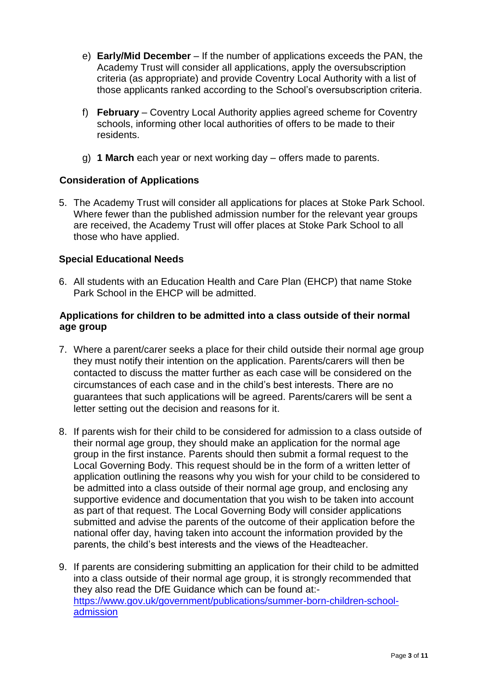- e) **Early/Mid December** If the number of applications exceeds the PAN, the Academy Trust will consider all applications, apply the oversubscription criteria (as appropriate) and provide Coventry Local Authority with a list of those applicants ranked according to the School's oversubscription criteria.
- f) **February** Coventry Local Authority applies agreed scheme for Coventry schools, informing other local authorities of offers to be made to their residents.
- g) **1 March** each year or next working day offers made to parents.

#### **Consideration of Applications**

5. The Academy Trust will consider all applications for places at Stoke Park School. Where fewer than the published admission number for the relevant year groups are received, the Academy Trust will offer places at Stoke Park School to all those who have applied.

#### **Special Educational Needs**

6. All students with an Education Health and Care Plan (EHCP) that name Stoke Park School in the EHCP will be admitted.

#### **Applications for children to be admitted into a class outside of their normal age group**

- 7. Where a parent/carer seeks a place for their child outside their normal age group they must notify their intention on the application. Parents/carers will then be contacted to discuss the matter further as each case will be considered on the circumstances of each case and in the child's best interests. There are no guarantees that such applications will be agreed. Parents/carers will be sent a letter setting out the decision and reasons for it.
- 8. If parents wish for their child to be considered for admission to a class outside of their normal age group, they should make an application for the normal age group in the first instance. Parents should then submit a formal request to the Local Governing Body. This request should be in the form of a written letter of application outlining the reasons why you wish for your child to be considered to be admitted into a class outside of their normal age group, and enclosing any supportive evidence and documentation that you wish to be taken into account as part of that request. The Local Governing Body will consider applications submitted and advise the parents of the outcome of their application before the national offer day, having taken into account the information provided by the parents, the child's best interests and the views of the Headteacher.
- 9. If parents are considering submitting an application for their child to be admitted into a class outside of their normal age group, it is strongly recommended that they also read the DfE Guidance which can be found at: [https://www.gov.uk/government/publications/summer-born-children-school](https://www.gov.uk/government/publications/summer-born-children-school-admission)[admission](https://www.gov.uk/government/publications/summer-born-children-school-admission)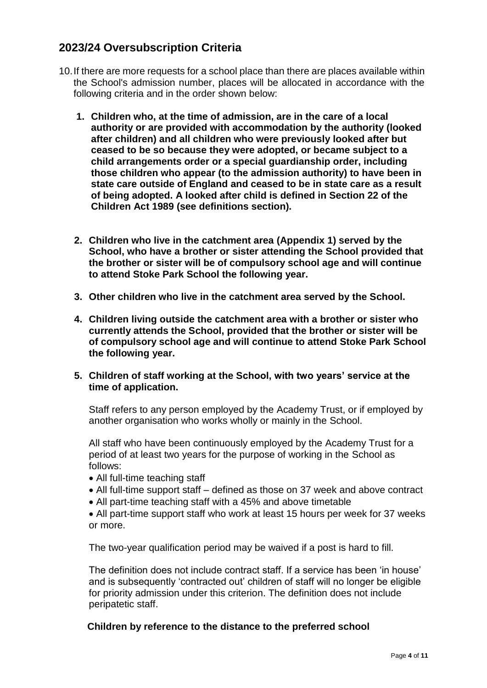## **2023/24 Oversubscription Criteria**

- 10.If there are more requests for a school place than there are places available within the School's admission number, places will be allocated in accordance with the following criteria and in the order shown below:
	- **1. Children who, at the time of admission, are in the care of a local authority or are provided with accommodation by the authority (looked after children) and all children who were previously looked after but ceased to be so because they were adopted, or became subject to a child arrangements order or a special guardianship order, including those children who appear (to the admission authority) to have been in state care outside of England and ceased to be in state care as a result of being adopted. A looked after child is defined in Section 22 of the Children Act 1989 (see definitions section).**
	- **2. Children who live in the catchment area (Appendix 1) served by the School, who have a brother or sister attending the School provided that the brother or sister will be of compulsory school age and will continue to attend Stoke Park School the following year.**
	- **3. Other children who live in the catchment area served by the School.**
	- **4. Children living outside the catchment area with a brother or sister who currently attends the School, provided that the brother or sister will be of compulsory school age and will continue to attend Stoke Park School the following year.**
	- **5. Children of staff working at the School, with two years' service at the time of application.**

Staff refers to any person employed by the Academy Trust, or if employed by another organisation who works wholly or mainly in the School.

All staff who have been continuously employed by the Academy Trust for a period of at least two years for the purpose of working in the School as follows:

- All full-time teaching staff
- All full-time support staff defined as those on 37 week and above contract
- All part-time teaching staff with a 45% and above timetable

• All part-time support staff who work at least 15 hours per week for 37 weeks or more.

The two-year qualification period may be waived if a post is hard to fill.

The definition does not include contract staff. If a service has been 'in house' and is subsequently 'contracted out' children of staff will no longer be eligible for priority admission under this criterion. The definition does not include peripatetic staff.

#### **Children by reference to the distance to the preferred school**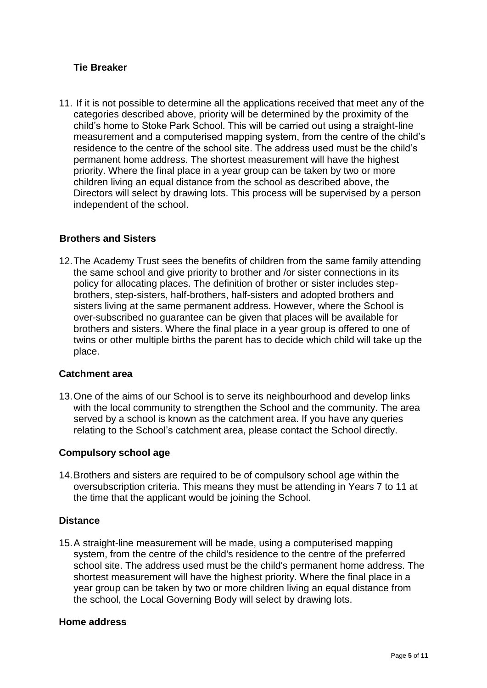#### **Tie Breaker**

11. If it is not possible to determine all the applications received that meet any of the categories described above, priority will be determined by the proximity of the child's home to Stoke Park School. This will be carried out using a straight-line measurement and a computerised mapping system, from the centre of the child's residence to the centre of the school site. The address used must be the child's permanent home address. The shortest measurement will have the highest priority. Where the final place in a year group can be taken by two or more children living an equal distance from the school as described above, the Directors will select by drawing lots. This process will be supervised by a person independent of the school.

#### **Brothers and Sisters**

12.The Academy Trust sees the benefits of children from the same family attending the same school and give priority to brother and /or sister connections in its policy for allocating places. The definition of brother or sister includes stepbrothers, step-sisters, half-brothers, half-sisters and adopted brothers and sisters living at the same permanent address. However, where the School is over-subscribed no guarantee can be given that places will be available for brothers and sisters. Where the final place in a year group is offered to one of twins or other multiple births the parent has to decide which child will take up the place.

#### **Catchment area**

13.One of the aims of our School is to serve its neighbourhood and develop links with the local community to strengthen the School and the community. The area served by a school is known as the catchment area. If you have any queries relating to the School's catchment area, please contact the School directly.

#### **Compulsory school age**

14.Brothers and sisters are required to be of compulsory school age within the oversubscription criteria. This means they must be attending in Years 7 to 11 at the time that the applicant would be joining the School.

#### **Distance**

15.A straight-line measurement will be made, using a computerised mapping system, from the centre of the child's residence to the centre of the preferred school site. The address used must be the child's permanent home address. The shortest measurement will have the highest priority. Where the final place in a year group can be taken by two or more children living an equal distance from the school, the Local Governing Body will select by drawing lots.

#### **Home address**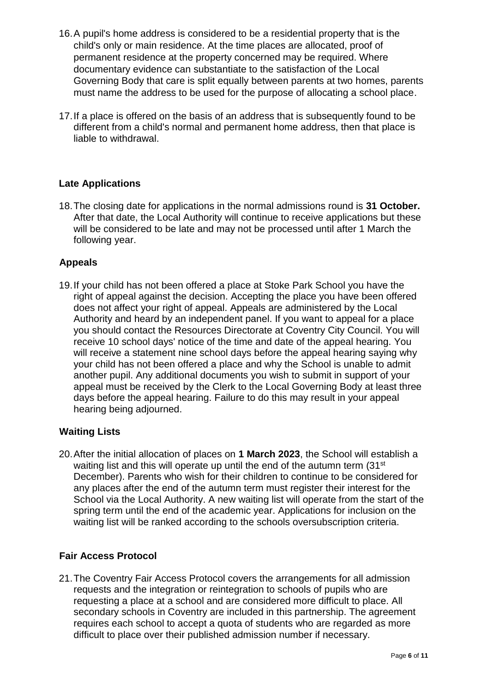- 16.A pupil's home address is considered to be a residential property that is the child's only or main residence. At the time places are allocated, proof of permanent residence at the property concerned may be required. Where documentary evidence can substantiate to the satisfaction of the Local Governing Body that care is split equally between parents at two homes, parents must name the address to be used for the purpose of allocating a school place.
- 17.If a place is offered on the basis of an address that is subsequently found to be different from a child's normal and permanent home address, then that place is liable to withdrawal.

#### **Late Applications**

18.The closing date for applications in the normal admissions round is **31 October.**  After that date, the Local Authority will continue to receive applications but these will be considered to be late and may not be processed until after 1 March the following year.

#### **Appeals**

19.If your child has not been offered a place at Stoke Park School you have the right of appeal against the decision. Accepting the place you have been offered does not affect your right of appeal. Appeals are administered by the Local Authority and heard by an independent panel. If you want to appeal for a place you should contact the Resources Directorate at Coventry City Council. You will receive 10 school days' notice of the time and date of the appeal hearing. You will receive a statement nine school days before the appeal hearing saying why your child has not been offered a place and why the School is unable to admit another pupil. Any additional documents you wish to submit in support of your appeal must be received by the Clerk to the Local Governing Body at least three days before the appeal hearing. Failure to do this may result in your appeal hearing being adjourned.

#### **Waiting Lists**

20.After the initial allocation of places on **1 March 2023**, the School will establish a waiting list and this will operate up until the end of the autumn term (31<sup>st</sup>) December). Parents who wish for their children to continue to be considered for any places after the end of the autumn term must register their interest for the School via the Local Authority. A new waiting list will operate from the start of the spring term until the end of the academic year. Applications for inclusion on the waiting list will be ranked according to the schools oversubscription criteria.

#### **Fair Access Protocol**

21.The Coventry Fair Access Protocol covers the arrangements for all admission requests and the integration or reintegration to schools of pupils who are requesting a place at a school and are considered more difficult to place. All secondary schools in Coventry are included in this partnership. The agreement requires each school to accept a quota of students who are regarded as more difficult to place over their published admission number if necessary.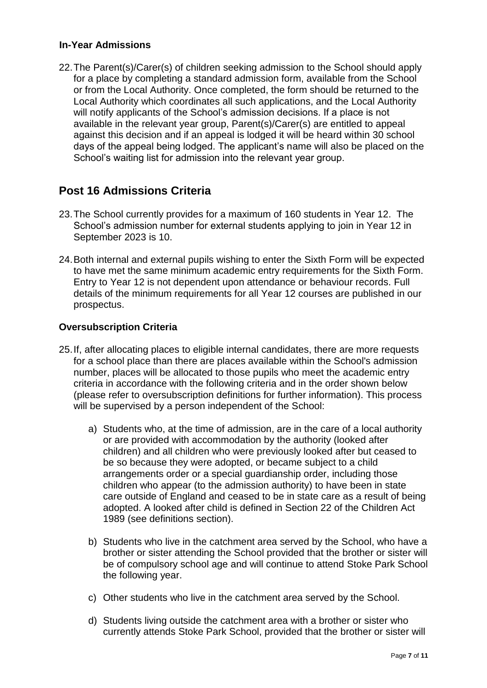#### **In-Year Admissions**

22.The Parent(s)/Carer(s) of children seeking admission to the School should apply for a place by completing a standard admission form, available from the School or from the Local Authority. Once completed, the form should be returned to the Local Authority which coordinates all such applications, and the Local Authority will notify applicants of the School's admission decisions. If a place is not available in the relevant year group, Parent(s)/Carer(s) are entitled to appeal against this decision and if an appeal is lodged it will be heard within 30 school days of the appeal being lodged. The applicant's name will also be placed on the School's waiting list for admission into the relevant year group.

### **Post 16 Admissions Criteria**

- 23.The School currently provides for a maximum of 160 students in Year 12. The School's admission number for external students applying to join in Year 12 in September 2023 is 10.
- 24.Both internal and external pupils wishing to enter the Sixth Form will be expected to have met the same minimum academic entry requirements for the Sixth Form. Entry to Year 12 is not dependent upon attendance or behaviour records. Full details of the minimum requirements for all Year 12 courses are published in our prospectus.

#### **Oversubscription Criteria**

- 25.If, after allocating places to eligible internal candidates, there are more requests for a school place than there are places available within the School's admission number, places will be allocated to those pupils who meet the academic entry criteria in accordance with the following criteria and in the order shown below (please refer to oversubscription definitions for further information). This process will be supervised by a person independent of the School:
	- a) Students who, at the time of admission, are in the care of a local authority or are provided with accommodation by the authority (looked after children) and all children who were previously looked after but ceased to be so because they were adopted, or became subject to a child arrangements order or a special guardianship order, including those children who appear (to the admission authority) to have been in state care outside of England and ceased to be in state care as a result of being adopted. A looked after child is defined in Section 22 of the Children Act 1989 (see definitions section).
	- b) Students who live in the catchment area served by the School, who have a brother or sister attending the School provided that the brother or sister will be of compulsory school age and will continue to attend Stoke Park School the following year.
	- c) Other students who live in the catchment area served by the School.
	- d) Students living outside the catchment area with a brother or sister who currently attends Stoke Park School, provided that the brother or sister will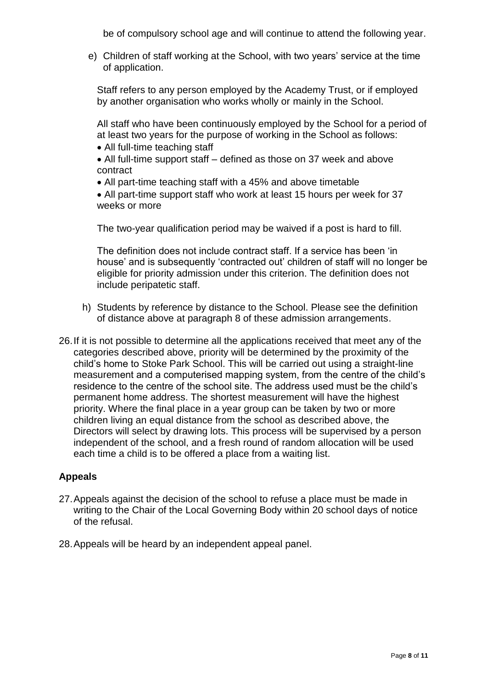be of compulsory school age and will continue to attend the following year.

e) Children of staff working at the School, with two years' service at the time of application.

Staff refers to any person employed by the Academy Trust, or if employed by another organisation who works wholly or mainly in the School.

All staff who have been continuously employed by the School for a period of at least two years for the purpose of working in the School as follows:

- All full-time teaching staff
- All full-time support staff defined as those on 37 week and above contract
- All part-time teaching staff with a 45% and above timetable

• All part-time support staff who work at least 15 hours per week for 37 weeks or more

The two-year qualification period may be waived if a post is hard to fill.

The definition does not include contract staff. If a service has been 'in house' and is subsequently 'contracted out' children of staff will no longer be eligible for priority admission under this criterion. The definition does not include peripatetic staff.

- h) Students by reference by distance to the School. Please see the definition of distance above at paragraph 8 of these admission arrangements.
- 26.If it is not possible to determine all the applications received that meet any of the categories described above, priority will be determined by the proximity of the child's home to Stoke Park School. This will be carried out using a straight-line measurement and a computerised mapping system, from the centre of the child's residence to the centre of the school site. The address used must be the child's permanent home address. The shortest measurement will have the highest priority. Where the final place in a year group can be taken by two or more children living an equal distance from the school as described above, the Directors will select by drawing lots. This process will be supervised by a person independent of the school, and a fresh round of random allocation will be used each time a child is to be offered a place from a waiting list.

#### **Appeals**

- 27.Appeals against the decision of the school to refuse a place must be made in writing to the Chair of the Local Governing Body within 20 school days of notice of the refusal.
- 28.Appeals will be heard by an independent appeal panel.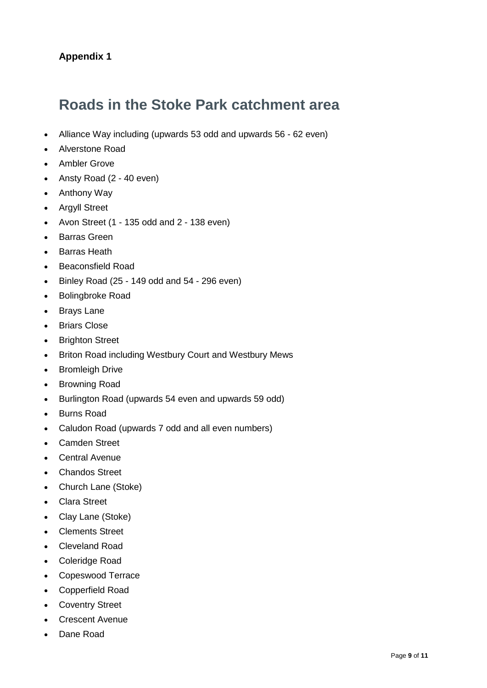### **Appendix 1**

## **Roads in the Stoke Park catchment area**

- Alliance Way including (upwards 53 odd and upwards 56 62 even)
- Alverstone Road
- Ambler Grove
- Ansty Road (2 40 even)
- Anthony Way
- Argyll Street
- Avon Street (1 135 odd and 2 138 even)
- Barras Green
- Barras Heath
- Beaconsfield Road
- $\bullet$  Binley Road (25 149 odd and 54 296 even)
- Bolingbroke Road
- Brays Lane
- Briars Close
- Brighton Street
- Briton Road including Westbury Court and Westbury Mews
- Bromleigh Drive
- Browning Road
- Burlington Road (upwards 54 even and upwards 59 odd)
- Burns Road
- Caludon Road (upwards 7 odd and all even numbers)
- Camden Street
- **Central Avenue**
- Chandos Street
- Church Lane (Stoke)
- Clara Street
- Clay Lane (Stoke)
- Clements Street
- Cleveland Road
- Coleridge Road
- Copeswood Terrace
- Copperfield Road
- Coventry Street
- Crescent Avenue
- Dane Road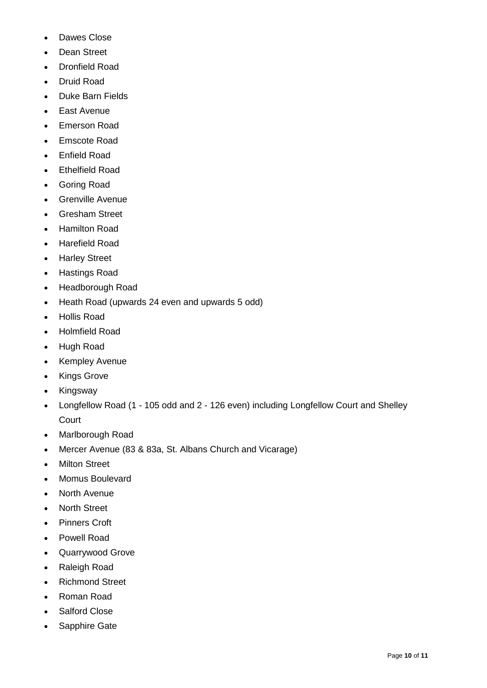- Dawes Close
- Dean Street
- Dronfield Road
- Druid Road
- Duke Barn Fields
- East Avenue
- Emerson Road
- Emscote Road
- Enfield Road
- Ethelfield Road
- Goring Road
- Grenville Avenue
- Gresham Street
- Hamilton Road
- Harefield Road
- Harley Street
- Hastings Road
- Headborough Road
- Heath Road (upwards 24 even and upwards 5 odd)
- Hollis Road
- Holmfield Road
- Hugh Road
- Kempley Avenue
- Kings Grove
- Kingsway
- Longfellow Road (1 105 odd and 2 126 even) including Longfellow Court and Shelley **Court**
- Marlborough Road
- Mercer Avenue (83 & 83a, St. Albans Church and Vicarage)
- Milton Street
- Momus Boulevard
- North Avenue
- North Street
- Pinners Croft
- Powell Road
- Quarrywood Grove
- Raleigh Road
- Richmond Street
- Roman Road
- Salford Close
- Sapphire Gate